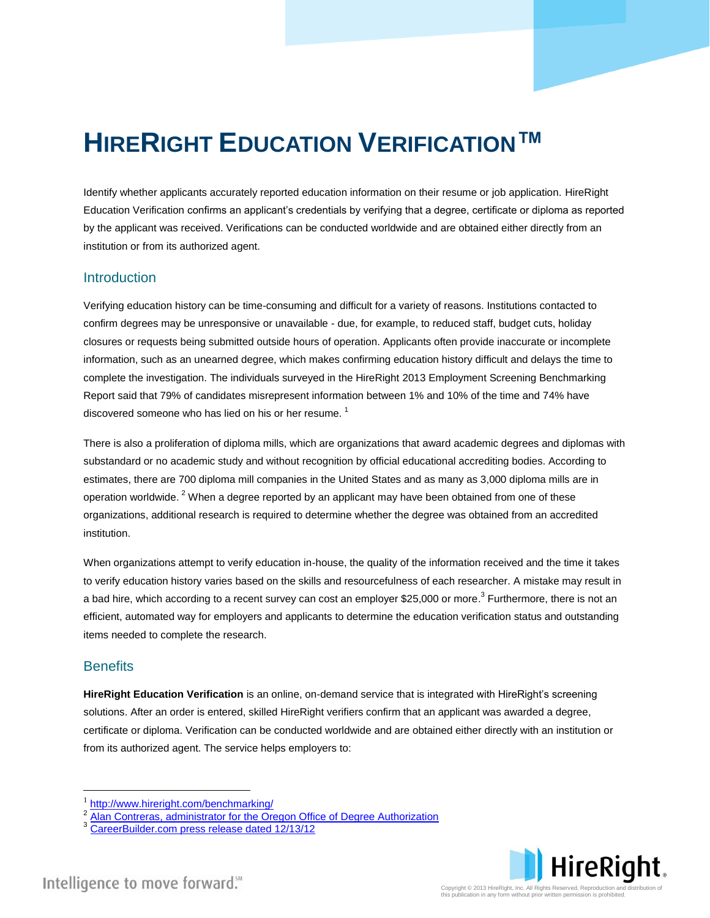# **HIRERIGHT EDUCATION VERIFICATION™**

Identify whether applicants accurately reported education information on their resume or job application. HireRight Education Verification confirms an applicant's credentials by verifying that a degree, certificate or diploma as reported by the applicant was received. Verifications can be conducted worldwide and are obtained either directly from an institution or from its authorized agent.

## **Introduction**

Verifying education history can be time-consuming and difficult for a variety of reasons. Institutions contacted to confirm degrees may be unresponsive or unavailable - due, for example, to reduced staff, budget cuts, holiday closures or requests being submitted outside hours of operation. Applicants often provide inaccurate or incomplete information, such as an unearned degree, which makes confirming education history difficult and delays the time to complete the investigation. The individuals surveyed in the HireRight 2013 Employment Screening Benchmarking Report said that 79% of candidates misrepresent information between 1% and 10% of the time and 74% have discovered someone who has lied on his or her resume.<sup>1</sup>

There is also a proliferation of diploma mills, which are organizations that award academic degrees and diplomas with substandard or no academic study and without recognition by official educational accrediting bodies. According to estimates, there are 700 diploma mill companies in the United States and as many as 3,000 diploma mills are in operation worldwide. <sup>2</sup> When a degree reported by an applicant may have been obtained from one of these organizations, additional research is required to determine whether the degree was obtained from an accredited institution.

When organizations attempt to verify education in-house, the quality of the information received and the time it takes to verify education history varies based on the skills and resourcefulness of each researcher. A mistake may result in a bad hire, which according to a recent survey can cost an employer \$25,000 or more.<sup>3</sup> Furthermore, there is not an efficient, automated way for employers and applicants to determine the education verification status and outstanding items needed to complete the research.

## **Benefits**

 $\overline{a}$ 

**HireRight Education Verification** is an online, on-demand service that is integrated with HireRight's screening solutions. After an order is entered, skilled HireRight verifiers confirm that an applicant was awarded a degree, certificate or diploma. Verification can be conducted worldwide and are obtained either directly with an institution or from its authorized agent. The service helps employers to:



<sup>1</sup> <http://www.hireright.com/benchmarking/>

<sup>2</sup> [Alan Contreras, administrator for the Oregon Office of Degree Authorization](http://www.shrm.org/Publications/hrmagazine/EditorialContent/Pages/0908leonard.aspx)

<sup>&</sup>lt;sup>3</sup> [CareerBuilder.com press release dated 12/13/12](http://www.careerbuilder.com/share/aboutus/pressreleasesdetail.aspx?sd=12%2f13%2f2012&siteid=cbpr&sc_cmp1=cb_pr730_&id=pr730&ed=12%2f31%2f2012)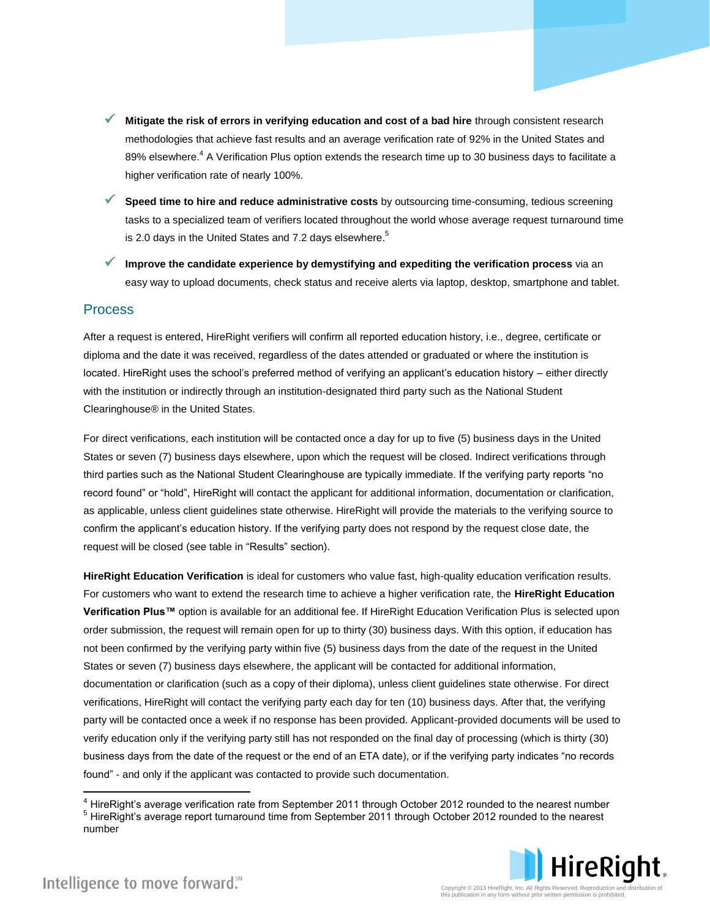- **Mitigate the risk of errors in verifying education and cost of a bad hire** through consistent research methodologies that achieve fast results and an average verification rate of 92% in the United States and 89% elsewhere.<sup>4</sup> A Verification Plus option extends the research time up to 30 business days to facilitate a higher verification rate of nearly 100%.
- **Speed time to hire and reduce administrative costs** by outsourcing time-consuming, tedious screening tasks to a specialized team of verifiers located throughout the world whose average request turnaround time is 2.0 days in the United States and 7.2 days elsewhere.<sup>5</sup>
- **Improve the candidate experience by demystifying and expediting the verification process** via an easy way to upload documents, check status and receive alerts via laptop, desktop, smartphone and tablet.

#### Process

After a request is entered, HireRight verifiers will confirm all reported education history, i.e., degree, certificate or diploma and the date it was received, regardless of the dates attended or graduated or where the institution is located. HireRight uses the school's preferred method of verifying an applicant's education history – either directly with the institution or indirectly through an institution-designated third party such as the National Student Clearinghouse® in the United States.

For direct verifications, each institution will be contacted once a day for up to five (5) business days in the United States or seven (7) business days elsewhere, upon which the request will be closed. Indirect verifications through third parties such as the National Student Clearinghouse are typically immediate. If the verifying party reports "no record found" or "hold", HireRight will contact the applicant for additional information, documentation or clarification, as applicable, unless client guidelines state otherwise. HireRight will provide the materials to the verifying source to confirm the applicant's education history. If the verifying party does not respond by the request close date, the request will be closed (see table in "Results" section).

**HireRight Education Verification** is ideal for customers who value fast, high-quality education verification results. For customers who want to extend the research time to achieve a higher verification rate, the **HireRight Education Verification Plus™** option is available for an additional fee. If HireRight Education Verification Plus is selected upon order submission, the request will remain open for up to thirty (30) business days. With this option, if education has not been confirmed by the verifying party within five (5) business days from the date of the request in the United States or seven (7) business days elsewhere, the applicant will be contacted for additional information, documentation or clarification (such as a copy of their diploma), unless client guidelines state otherwise. For direct verifications, HireRight will contact the verifying party each day for ten (10) business days. After that, the verifying party will be contacted once a week if no response has been provided. Applicant-provided documents will be used to verify education only if the verifying party still has not responded on the final day of processing (which is thirty (30) business days from the date of the request or the end of an ETA date), or if the verifying party indicates "no records found" - and only if the applicant was contacted to provide such documentation.

<sup>5</sup> HireRight's average report turnaround time from September 2011 through October 2012 rounded to the nearest number



 $\overline{a}$ 

<sup>&</sup>lt;sup>4</sup> HireRight's average verification rate from September 2011 through October 2012 rounded to the nearest number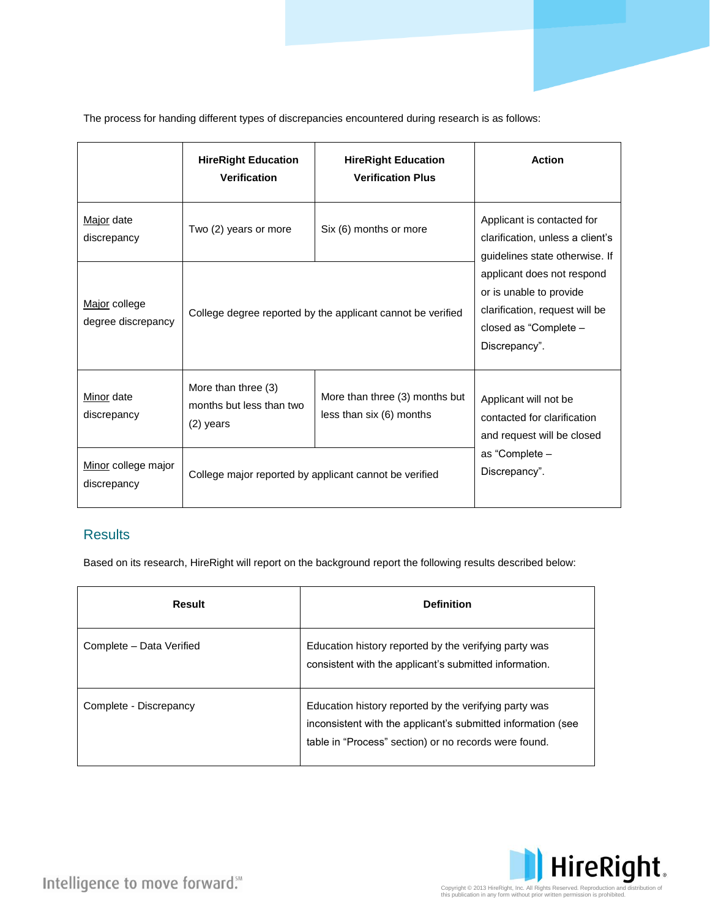The process for handing different types of discrepancies encountered during research is as follows:

|                                     | <b>HireRight Education</b><br><b>Verification</b>              | <b>HireRight Education</b><br><b>Verification Plus</b>                                    | <b>Action</b>                                                                                                                                                                                                                         |
|-------------------------------------|----------------------------------------------------------------|-------------------------------------------------------------------------------------------|---------------------------------------------------------------------------------------------------------------------------------------------------------------------------------------------------------------------------------------|
| Major date<br>discrepancy           | Two (2) years or more                                          | Six (6) months or more                                                                    | Applicant is contacted for<br>clarification, unless a client's<br>guidelines state otherwise. If<br>applicant does not respond<br>or is unable to provide<br>clarification, request will be<br>closed as "Complete -<br>Discrepancy". |
| Major college<br>degree discrepancy |                                                                | College degree reported by the applicant cannot be verified                               |                                                                                                                                                                                                                                       |
| Minor date<br>discrepancy           | More than three (3)<br>months but less than two<br>$(2)$ years | More than three (3) months but<br>less than six (6) months                                | Applicant will not be<br>contacted for clarification<br>and request will be closed                                                                                                                                                    |
| Minor college major<br>discrepancy  |                                                                | as "Complete -<br>Discrepancy".<br>College major reported by applicant cannot be verified |                                                                                                                                                                                                                                       |

## **Results**

Based on its research, HireRight will report on the background report the following results described below:

| Result                   | <b>Definition</b>                                                                                                                                                              |
|--------------------------|--------------------------------------------------------------------------------------------------------------------------------------------------------------------------------|
| Complete - Data Verified | Education history reported by the verifying party was<br>consistent with the applicant's submitted information.                                                                |
| Complete - Discrepancy   | Education history reported by the verifying party was<br>inconsistent with the applicant's submitted information (see<br>table in "Process" section) or no records were found. |



Intelligence to move forward."